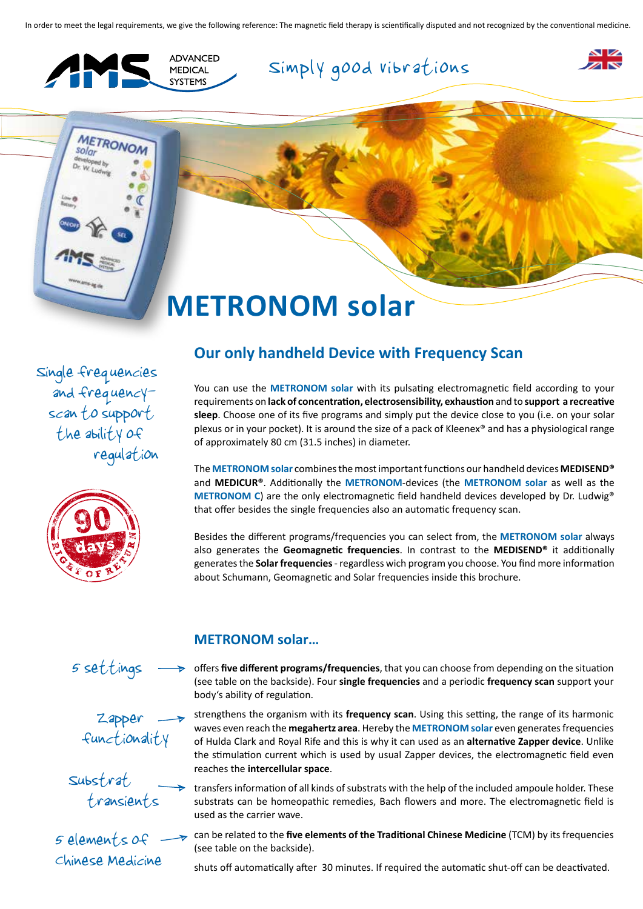In order to meet the legal requirements, we give the following reference: The magnetic field therapy is scientifically disputed and not recognized by the conventional medicine.



**METRONON** 

**Solar** 





## **METRONOM solar**

 Single frequencies and frequency scan to support the ability of regulation



### **Our only handheld Device with Frequency Scan**

You can use the **METRONOM solar** with its pulsating electromagnetic field according to your requirements on **lack of concentration, electrosensibility, exhaustion** and to **support a recreative sleep**. Choose one of its five programs and simply put the device close to you (i.e. on your solar plexus or in your pocket). It is around the size of a pack of Kleenex® and has a physiological range of approximately 80 cm (31.5 inches) in diameter.

The **METRONOM solar** combines the most important functions our handheld devices **MEDISEND®**  and **MEDICUR®**. Additionally the **METRONOM**-devices (the **METRONOM solar** as well as the **METRONOM C**) are the only electromagnetic field handheld devices developed by Dr. Ludwig<sup>®</sup> that offer besides the single frequencies also an automatic frequency scan.

Besides the different programs/frequencies you can select from, the **METRONOM solar** always also generates the **Geomagnetic frequencies**. In contrast to the **MEDISEND®** it additionally generates the **Solar frequencies** - regardless wich program you choose. You find more information about Schumann, Geomagnetic and Solar frequencies inside this brochure.

5 settings

 Zapper functionality

 Substrat transients

5 elements of Chinese Medicine

### **METRONOM solar…**

offers **five different programs/frequencies**, that you can choose from depending on the situation (see table on the backside). Four **single frequencies** and a periodic **frequency scan** support your body's ability of regulation.

strengthens the organism with its **frequency scan**. Using this setting, the range of its harmonic waves even reach the **megahertz area**. Hereby the **METRONOM solar** even generates frequencies of Hulda Clark and Royal Rife and this is why it can used as an **alternative Zapper device**. Unlike the stimulation current which is used by usual Zapper devices, the electromagnetic field even reaches the **intercellular space**.

transfers information of all kinds of substrats with the help of the included ampoule holder. These substrats can be homeopathic remedies, Bach flowers and more. The electromagnetic field is used as the carrier wave.

can be related to the **five elements of the Traditional Chinese Medicine** (TCM) by its frequencies (see table on the backside).

shuts off automatically after 30 minutes. If required the automatic shut-off can be deactivated.